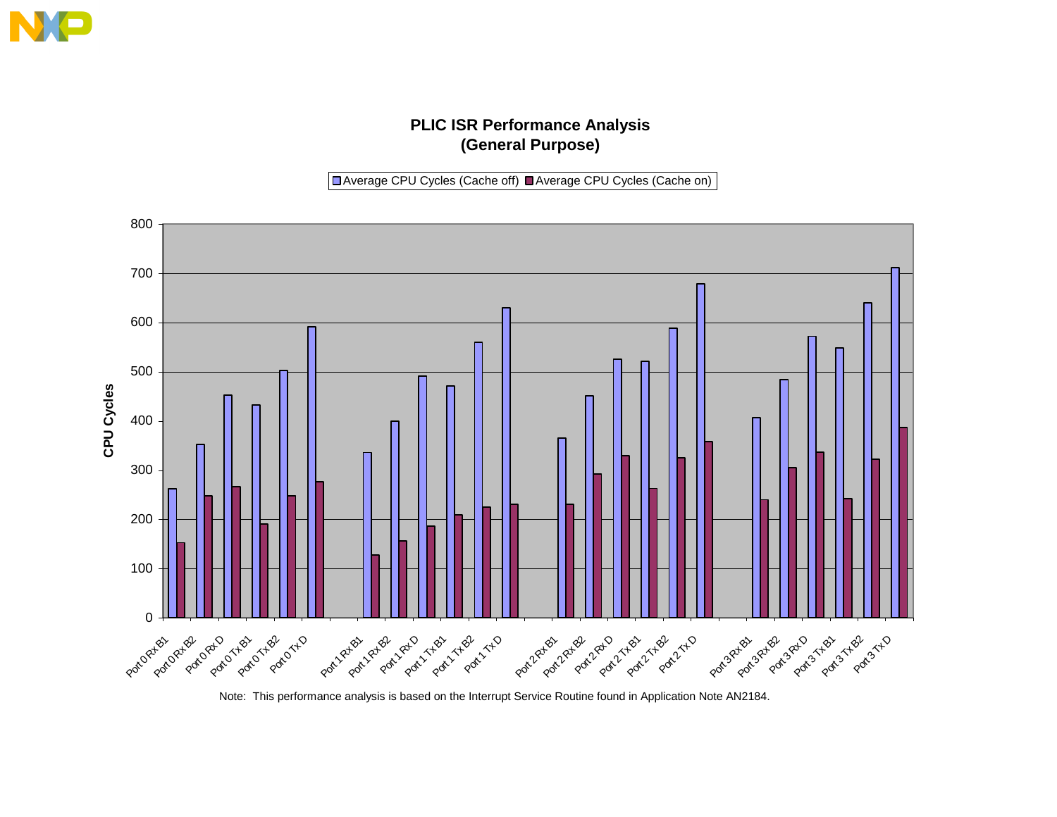## **PLIC ISR Performance Analysis (General Purpose)**

■ Average CPU Cycles (Cache off) ■ Average CPU Cycles (Cache on)



Note: This performance analysis is based on the Interrupt Service Routine found in Application Note AN2184.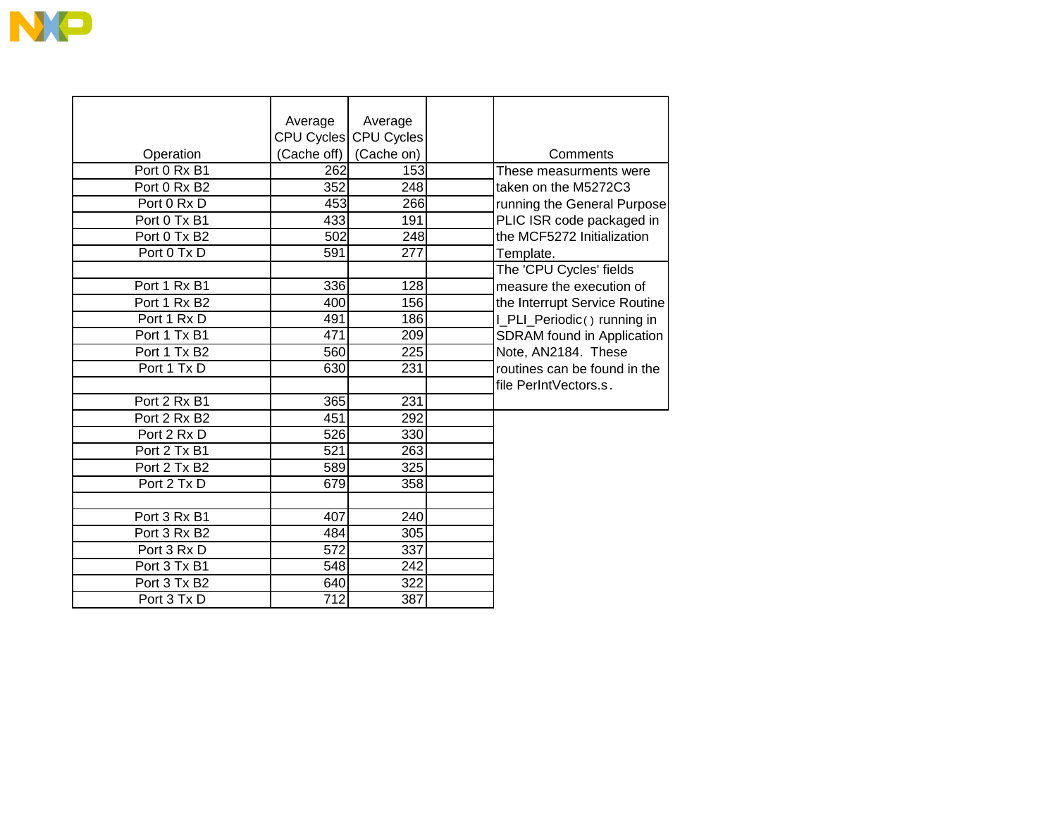

| Average          | Average                                                                                         |                                                                                      | Comments                               |
|------------------|-------------------------------------------------------------------------------------------------|--------------------------------------------------------------------------------------|----------------------------------------|
|                  |                                                                                                 |                                                                                      | These measurments were                 |
|                  |                                                                                                 |                                                                                      | taken on the M5272C3                   |
|                  |                                                                                                 |                                                                                      | running the General Purpose            |
|                  |                                                                                                 |                                                                                      | PLIC ISR code packaged in              |
|                  |                                                                                                 |                                                                                      | the MCF5272 Initialization             |
|                  |                                                                                                 |                                                                                      |                                        |
|                  |                                                                                                 |                                                                                      | Template.<br>The 'CPU Cycles' fields   |
|                  |                                                                                                 |                                                                                      |                                        |
|                  |                                                                                                 |                                                                                      | measure the execution of               |
|                  |                                                                                                 |                                                                                      | the Interrupt Service Routine          |
|                  |                                                                                                 |                                                                                      | I_PLI_Periodic() running in            |
|                  |                                                                                                 |                                                                                      | SDRAM found in Application             |
|                  |                                                                                                 |                                                                                      | Note, AN2184. These                    |
|                  |                                                                                                 |                                                                                      | routines can be found in the           |
|                  |                                                                                                 |                                                                                      | file PerIntVectors.s.                  |
| 365              | 231                                                                                             |                                                                                      |                                        |
| 451              | 292                                                                                             |                                                                                      |                                        |
| 526              | 330                                                                                             |                                                                                      |                                        |
| 521              | 263                                                                                             |                                                                                      |                                        |
| 589              | 325                                                                                             |                                                                                      |                                        |
| 679              | 358                                                                                             |                                                                                      |                                        |
|                  |                                                                                                 |                                                                                      |                                        |
| 407              | 240                                                                                             |                                                                                      |                                        |
| 484              |                                                                                                 |                                                                                      |                                        |
| 572              | 337                                                                                             |                                                                                      |                                        |
| 548              | 242                                                                                             |                                                                                      |                                        |
| 640              | 322                                                                                             |                                                                                      |                                        |
| $\overline{712}$ | 387                                                                                             |                                                                                      |                                        |
|                  | (Cache off)<br>262<br>352<br>453<br>433<br>502<br>591<br>336<br>400<br>491<br>471<br>560<br>630 | CPU Cycles CPU Cycles<br>(Cache on)<br>191<br>277<br>128<br>156<br>209<br>225<br>231 | 153<br>248<br>266<br>248<br>186<br>305 |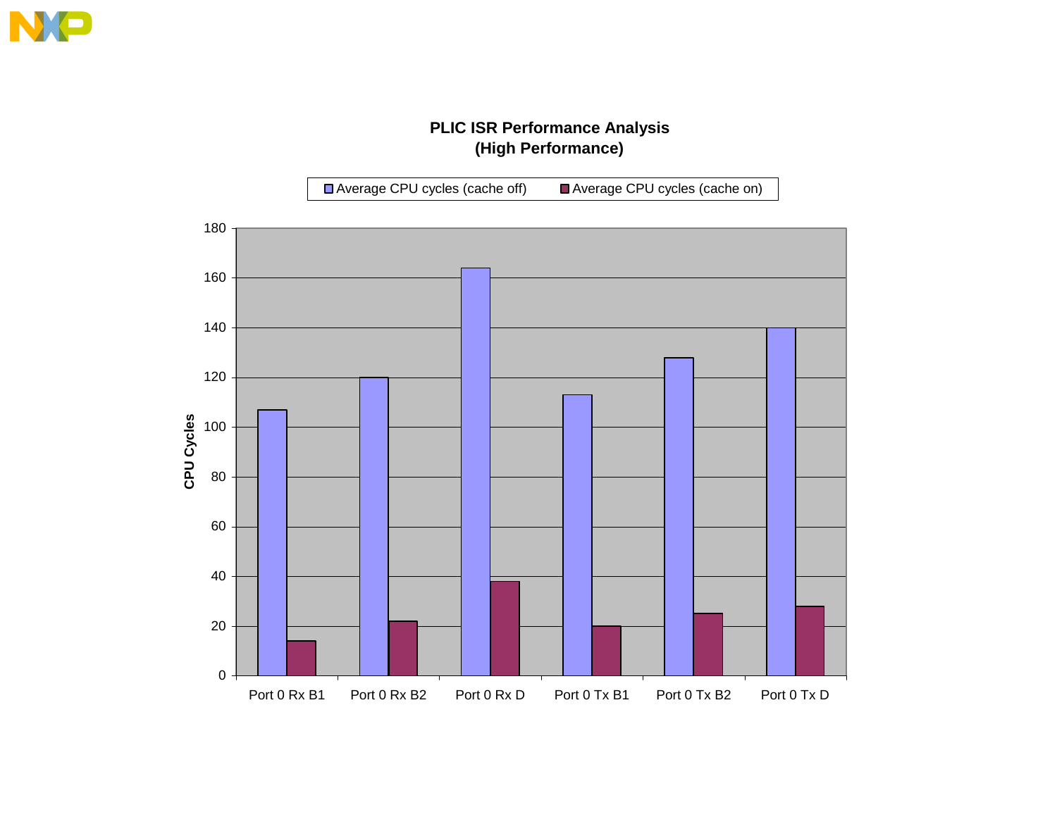## **PLIC ISR Performance Analysis (High Performance)**